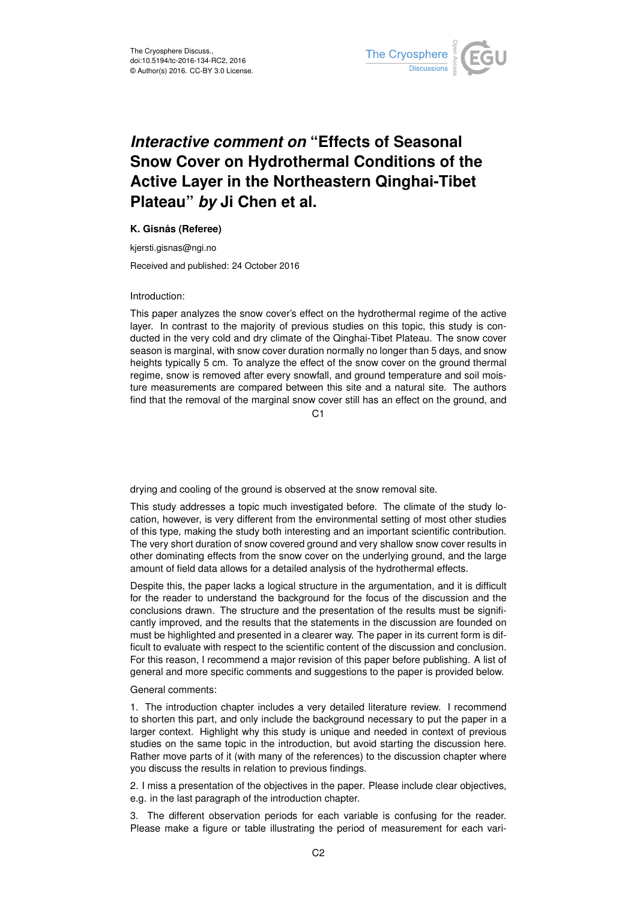

## *Interactive comment on* **"Effects of Seasonal Snow Cover on Hydrothermal Conditions of the Active Layer in the Northeastern Qinghai-Tibet Plateau"** *by* **Ji Chen et al.**

## **K. Gisnås (Referee)**

kjersti.gisnas@ngi.no

Received and published: 24 October 2016

## Introduction:

This paper analyzes the snow cover's effect on the hydrothermal regime of the active layer. In contrast to the majority of previous studies on this topic, this study is conducted in the very cold and dry climate of the Qinghai-Tibet Plateau. The snow cover season is marginal, with snow cover duration normally no longer than 5 days, and snow heights typically 5 cm. To analyze the effect of the snow cover on the ground thermal regime, snow is removed after every snowfall, and ground temperature and soil moisture measurements are compared between this site and a natural site. The authors find that the removal of the marginal snow cover still has an effect on the ground, and

C1

drying and cooling of the ground is observed at the snow removal site.

This study addresses a topic much investigated before. The climate of the study location, however, is very different from the environmental setting of most other studies of this type, making the study both interesting and an important scientific contribution. The very short duration of snow covered ground and very shallow snow cover results in other dominating effects from the snow cover on the underlying ground, and the large amount of field data allows for a detailed analysis of the hydrothermal effects.

Despite this, the paper lacks a logical structure in the argumentation, and it is difficult for the reader to understand the background for the focus of the discussion and the conclusions drawn. The structure and the presentation of the results must be significantly improved, and the results that the statements in the discussion are founded on must be highlighted and presented in a clearer way. The paper in its current form is difficult to evaluate with respect to the scientific content of the discussion and conclusion. For this reason, I recommend a major revision of this paper before publishing. A list of general and more specific comments and suggestions to the paper is provided below.

## General comments:

1. The introduction chapter includes a very detailed literature review. I recommend to shorten this part, and only include the background necessary to put the paper in a larger context. Highlight why this study is unique and needed in context of previous studies on the same topic in the introduction, but avoid starting the discussion here. Rather move parts of it (with many of the references) to the discussion chapter where you discuss the results in relation to previous findings.

2. I miss a presentation of the objectives in the paper. Please include clear objectives, e.g. in the last paragraph of the introduction chapter.

3. The different observation periods for each variable is confusing for the reader. Please make a figure or table illustrating the period of measurement for each vari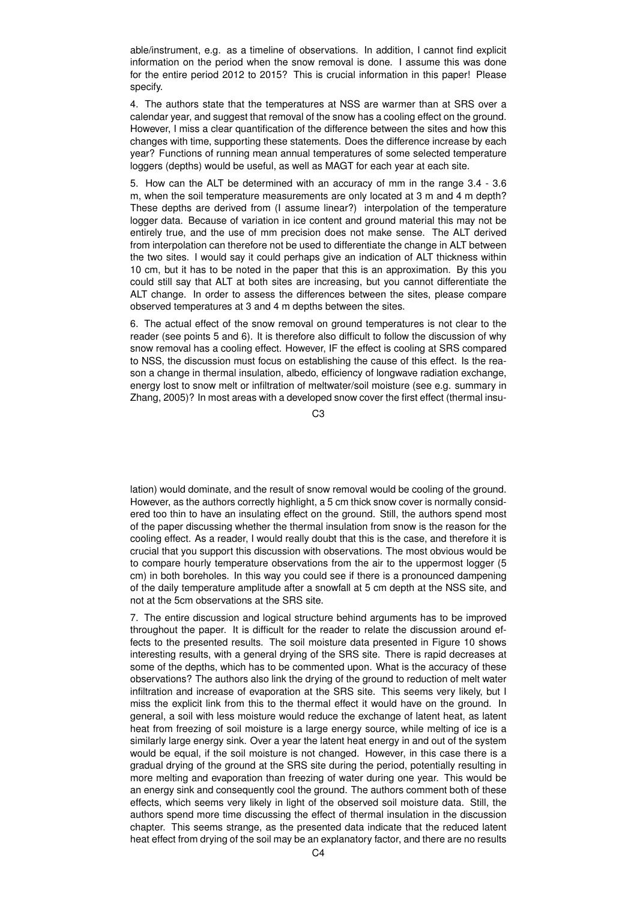able/instrument, e.g. as a timeline of observations. In addition, I cannot find explicit information on the period when the snow removal is done. I assume this was done for the entire period 2012 to 2015? This is crucial information in this paper! Please specify.

4. The authors state that the temperatures at NSS are warmer than at SRS over a calendar year, and suggest that removal of the snow has a cooling effect on the ground. However, I miss a clear quantification of the difference between the sites and how this changes with time, supporting these statements. Does the difference increase by each year? Functions of running mean annual temperatures of some selected temperature loggers (depths) would be useful, as well as MAGT for each year at each site.

5. How can the ALT be determined with an accuracy of mm in the range 3.4 - 3.6 m, when the soil temperature measurements are only located at 3 m and 4 m depth? These depths are derived from (I assume linear?) interpolation of the temperature logger data. Because of variation in ice content and ground material this may not be entirely true, and the use of mm precision does not make sense. The ALT derived from interpolation can therefore not be used to differentiate the change in ALT between the two sites. I would say it could perhaps give an indication of ALT thickness within 10 cm, but it has to be noted in the paper that this is an approximation. By this you could still say that ALT at both sites are increasing, but you cannot differentiate the ALT change. In order to assess the differences between the sites, please compare observed temperatures at 3 and 4 m depths between the sites.

6. The actual effect of the snow removal on ground temperatures is not clear to the reader (see points 5 and 6). It is therefore also difficult to follow the discussion of why snow removal has a cooling effect. However, IF the effect is cooling at SRS compared to NSS, the discussion must focus on establishing the cause of this effect. Is the reason a change in thermal insulation, albedo, efficiency of longwave radiation exchange, energy lost to snow melt or infiltration of meltwater/soil moisture (see e.g. summary in Zhang, 2005)? In most areas with a developed snow cover the first effect (thermal insu-

 $C3$ 

lation) would dominate, and the result of snow removal would be cooling of the ground. However, as the authors correctly highlight, a 5 cm thick snow cover is normally considered too thin to have an insulating effect on the ground. Still, the authors spend most of the paper discussing whether the thermal insulation from snow is the reason for the cooling effect. As a reader, I would really doubt that this is the case, and therefore it is crucial that you support this discussion with observations. The most obvious would be to compare hourly temperature observations from the air to the uppermost logger (5 cm) in both boreholes. In this way you could see if there is a pronounced dampening of the daily temperature amplitude after a snowfall at 5 cm depth at the NSS site, and not at the 5cm observations at the SRS site.

7. The entire discussion and logical structure behind arguments has to be improved throughout the paper. It is difficult for the reader to relate the discussion around effects to the presented results. The soil moisture data presented in Figure 10 shows interesting results, with a general drying of the SRS site. There is rapid decreases at some of the depths, which has to be commented upon. What is the accuracy of these observations? The authors also link the drying of the ground to reduction of melt water infiltration and increase of evaporation at the SRS site. This seems very likely, but I miss the explicit link from this to the thermal effect it would have on the ground. In general, a soil with less moisture would reduce the exchange of latent heat, as latent heat from freezing of soil moisture is a large energy source, while melting of ice is a similarly large energy sink. Over a year the latent heat energy in and out of the system would be equal, if the soil moisture is not changed. However, in this case there is a gradual drying of the ground at the SRS site during the period, potentially resulting in more melting and evaporation than freezing of water during one year. This would be an energy sink and consequently cool the ground. The authors comment both of these effects, which seems very likely in light of the observed soil moisture data. Still, the authors spend more time discussing the effect of thermal insulation in the discussion chapter. This seems strange, as the presented data indicate that the reduced latent heat effect from drying of the soil may be an explanatory factor, and there are no results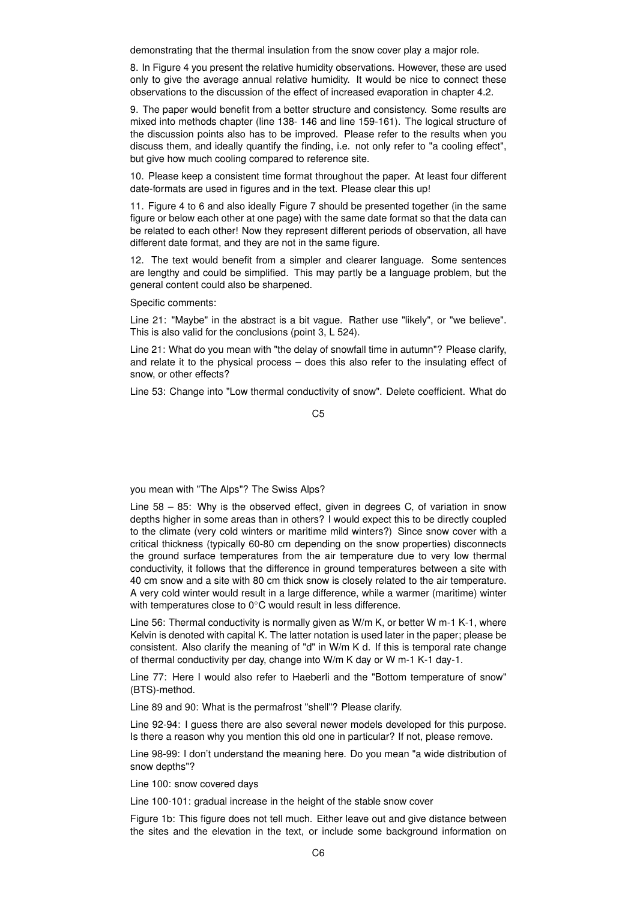demonstrating that the thermal insulation from the snow cover play a major role.

8. In Figure 4 you present the relative humidity observations. However, these are used only to give the average annual relative humidity. It would be nice to connect these observations to the discussion of the effect of increased evaporation in chapter 4.2.

9. The paper would benefit from a better structure and consistency. Some results are mixed into methods chapter (line 138- 146 and line 159-161). The logical structure of the discussion points also has to be improved. Please refer to the results when you discuss them, and ideally quantify the finding, i.e. not only refer to "a cooling effect", but give how much cooling compared to reference site.

10. Please keep a consistent time format throughout the paper. At least four different date-formats are used in figures and in the text. Please clear this up!

11. Figure 4 to 6 and also ideally Figure 7 should be presented together (in the same figure or below each other at one page) with the same date format so that the data can be related to each other! Now they represent different periods of observation, all have different date format, and they are not in the same figure.

12. The text would benefit from a simpler and clearer language. Some sentences are lengthy and could be simplified. This may partly be a language problem, but the general content could also be sharpened.

Specific comments:

Line 21: "Maybe" in the abstract is a bit vague. Rather use "likely", or "we believe". This is also valid for the conclusions (point 3, L 524).

Line 21: What do you mean with "the delay of snowfall time in autumn"? Please clarify, and relate it to the physical process – does this also refer to the insulating effect of snow, or other effects?

Line 53: Change into "Low thermal conductivity of snow". Delete coefficient. What do

C5

you mean with "The Alps"? The Swiss Alps?

Line 58 – 85: Why is the observed effect, given in degrees C, of variation in snow depths higher in some areas than in others? I would expect this to be directly coupled to the climate (very cold winters or maritime mild winters?) Since snow cover with a critical thickness (typically 60-80 cm depending on the snow properties) disconnects the ground surface temperatures from the air temperature due to very low thermal conductivity, it follows that the difference in ground temperatures between a site with 40 cm snow and a site with 80 cm thick snow is closely related to the air temperature. A very cold winter would result in a large difference, while a warmer (maritime) winter with temperatures close to 0°C would result in less difference.

Line 56: Thermal conductivity is normally given as W/m K, or better W m-1 K-1, where Kelvin is denoted with capital K. The latter notation is used later in the paper; please be consistent. Also clarify the meaning of "d" in W/m K d. If this is temporal rate change of thermal conductivity per day, change into W/m K day or W m-1 K-1 day-1.

Line 77: Here I would also refer to Haeberli and the "Bottom temperature of snow" (BTS)-method.

Line 89 and 90: What is the permafrost "shell"? Please clarify.

Line 92-94: I guess there are also several newer models developed for this purpose. Is there a reason why you mention this old one in particular? If not, please remove.

Line 98-99: I don't understand the meaning here. Do you mean "a wide distribution of snow depths"?

Line 100: snow covered days

Line 100-101: gradual increase in the height of the stable snow cover

Figure 1b: This figure does not tell much. Either leave out and give distance between the sites and the elevation in the text, or include some background information on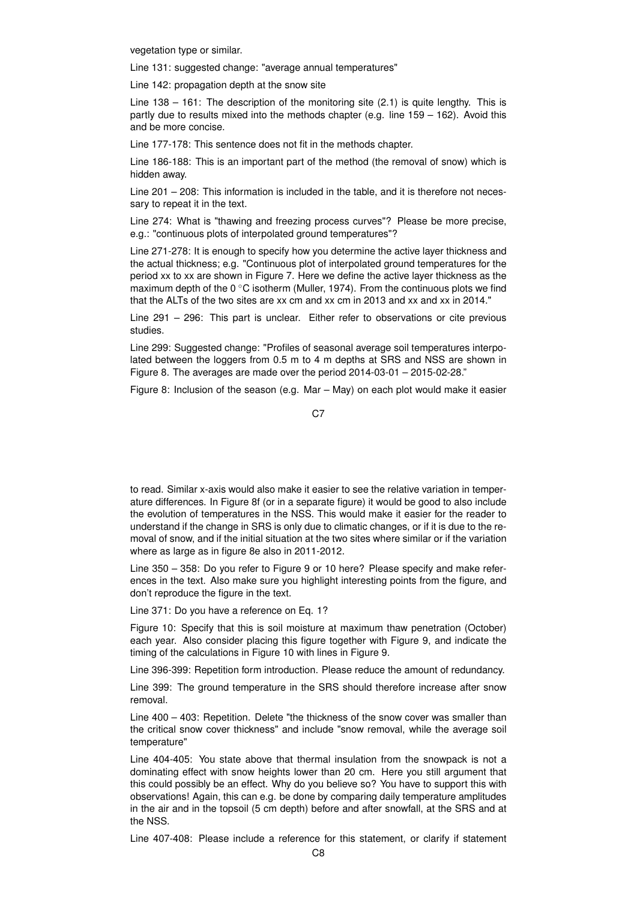vegetation type or similar.

Line 131: suggested change: "average annual temperatures"

Line 142: propagation depth at the snow site

Line 138 – 161: The description of the monitoring site (2.1) is quite lengthy. This is partly due to results mixed into the methods chapter (e.g. line 159 – 162). Avoid this and be more concise.

Line 177-178: This sentence does not fit in the methods chapter.

Line 186-188: This is an important part of the method (the removal of snow) which is hidden away.

Line 201 – 208: This information is included in the table, and it is therefore not necessary to repeat it in the text.

Line 274: What is "thawing and freezing process curves"? Please be more precise, e.g.: "continuous plots of interpolated ground temperatures"?

Line 271-278: It is enough to specify how you determine the active layer thickness and the actual thickness; e.g. "Continuous plot of interpolated ground temperatures for the period xx to xx are shown in Figure 7. Here we define the active layer thickness as the maximum depth of the 0  $\degree$ C isotherm (Muller, 1974). From the continuous plots we find that the ALTs of the two sites are xx cm and xx cm in 2013 and xx and xx in 2014."

Line 291 – 296: This part is unclear. Either refer to observations or cite previous studies.

Line 299: Suggested change: "Profiles of seasonal average soil temperatures interpolated between the loggers from 0.5 m to 4 m depths at SRS and NSS are shown in Figure 8. The averages are made over the period 2014-03-01 – 2015-02-28."

Figure 8: Inclusion of the season (e.g. Mar – May) on each plot would make it easier

to read. Similar x-axis would also make it easier to see the relative variation in temperature differences. In Figure 8f (or in a separate figure) it would be good to also include the evolution of temperatures in the NSS. This would make it easier for the reader to understand if the change in SRS is only due to climatic changes, or if it is due to the removal of snow, and if the initial situation at the two sites where similar or if the variation where as large as in figure 8e also in 2011-2012.

Line 350 – 358: Do you refer to Figure 9 or 10 here? Please specify and make references in the text. Also make sure you highlight interesting points from the figure, and don't reproduce the figure in the text.

Line 371: Do you have a reference on Eq. 1?

Figure 10: Specify that this is soil moisture at maximum thaw penetration (October) each year. Also consider placing this figure together with Figure 9, and indicate the timing of the calculations in Figure 10 with lines in Figure 9.

Line 396-399: Repetition form introduction. Please reduce the amount of redundancy.

Line 399: The ground temperature in the SRS should therefore increase after snow removal.

Line 400 – 403: Repetition. Delete "the thickness of the snow cover was smaller than the critical snow cover thickness" and include "snow removal, while the average soil temperature"

Line 404-405: You state above that thermal insulation from the snowpack is not a dominating effect with snow heights lower than 20 cm. Here you still argument that this could possibly be an effect. Why do you believe so? You have to support this with observations! Again, this can e.g. be done by comparing daily temperature amplitudes in the air and in the topsoil (5 cm depth) before and after snowfall, at the SRS and at the NSS.

Line 407-408: Please include a reference for this statement, or clarify if statement

C<sub>7</sub>